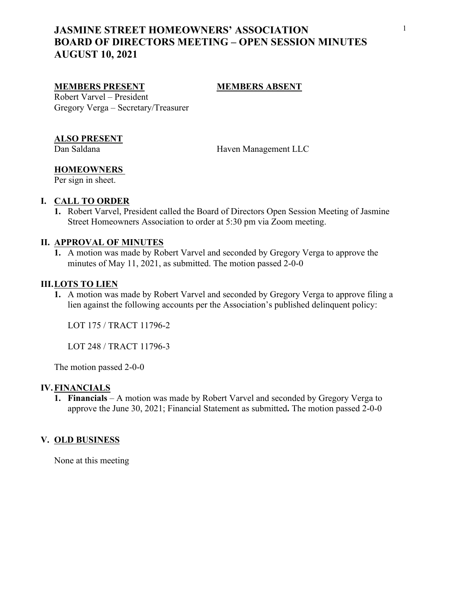## <sup>1</sup> **JASMINE STREET HOMEOWNERS' ASSOCIATION BOARD OF DIRECTORS MEETING – OPEN SESSION MINUTES AUGUST 10, 2021**

## **MEMBERS PRESENT MEMBERS ABSENT**

Robert Varvel – President Gregory Verga – Secretary/Treasurer

# **ALSO PRESENT**<br>Dan Saldana

Haven Management LLC

## **HOMEOWNERS**

Per sign in sheet.

## **I. CALL TO ORDER**

**1.** Robert Varvel, President called the Board of Directors Open Session Meeting of Jasmine Street Homeowners Association to order at 5:30 pm via Zoom meeting.

## **II. APPROVAL OF MINUTES**

**1.** A motion was made by Robert Varvel and seconded by Gregory Verga to approve the minutes of May 11, 2021, as submitted. The motion passed 2-0-0

### **III.LOTS TO LIEN**

**1.** A motion was made by Robert Varvel and seconded by Gregory Verga to approve filing a lien against the following accounts per the Association's published delinquent policy:

LOT 175 / TRACT 11796-2

LOT 248 / TRACT 11796-3

The motion passed 2-0-0

### **IV.FINANCIALS**

**1. Financials** – A motion was made by Robert Varvel and seconded by Gregory Verga to approve the June 30, 2021; Financial Statement as submitted**.** The motion passed 2-0-0 **V. OLD BUSINESS**

None at this meeting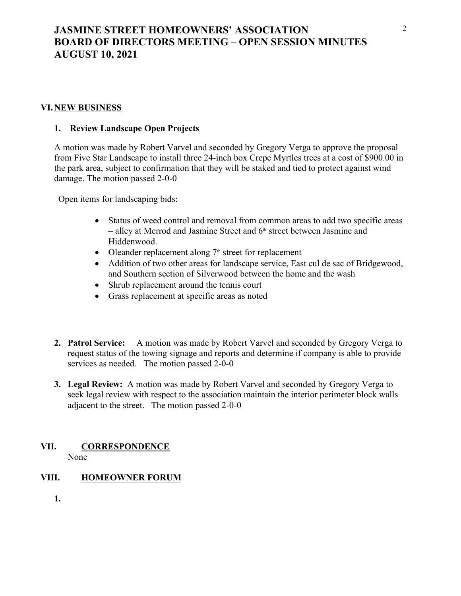## <sup>2</sup> **JASMINE STREET HOMEOWNERS' ASSOCIATION BOARD OF DIRECTORS MEETING – OPEN SESSION MINUTES AUGUST 10, 2021**

## **VI.NEW BUSINESS**

## **1. Review Landscape Open Projects**

A motion was made by Robert Varvel and seconded by Gregory Verga to approve the proposal from Five Star Landscape to install three 24-inch box Crepe Myrtles trees at a cost of \$900.00 in the park area, subject to confirmation that they will be staked and tied to protect against wind damage. The motion passed 2-0-0

Open items for landscaping bids:

- Status of weed control and removal from common areas to add two specific areas – alley at Merrod and Jasmine Street and  $6<sup>th</sup>$  street between Jasmine and Hiddenwood.
- Oleander replacement along  $7<sup>th</sup>$  street for replacement
- Addition of two other areas for landscape service, East cul de sac of Bridgewood, and Southern section of Silverwood between the home and the wash
- Shrub replacement around the tennis court
- Grass replacement at specific areas as noted
- **2. Patrol Service:** A motion was made by Robert Varvel and seconded by Gregory Verga to request status of the towing signage and reports and determine if company is able to provide services as needed. The motion passed 2-0-0
- **3. Legal Review:** A motion was made by Robert Varvel and seconded by Gregory Verga to seek legal review with respect to the association maintain the interior perimeter block walls adjacent to the street. The motion passed 2-0-0

### **VII. CORRESPONDENCE** None

## **VIII. HOMEOWNER FORUM**

**1.**